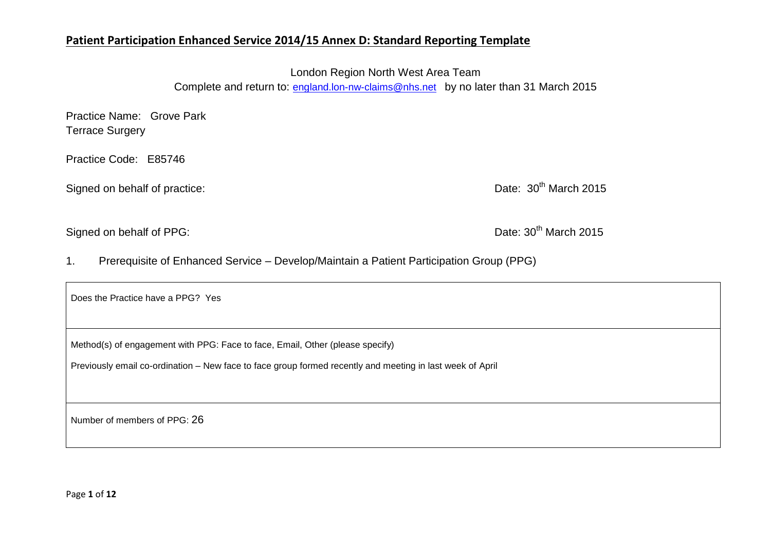London Region North West Area Team

Complete and return to: [england.lon-nw-claims@nhs.net](mailto:england.lon-nw-claims@nhs.net) by no later than 31 March 2015

Practice Name: Grove Park Terrace Surgery

Practice Code: E85746

Signed on behalf of practice:  $D = 2015$ 

Signed on behalf of PPG: Date: 30<sup>th</sup> March 2015

#### 1. Prerequisite of Enhanced Service – Develop/Maintain a Patient Participation Group (PPG)

Does the Practice have a PPG? Yes

Method(s) of engagement with PPG: Face to face, Email, Other (please specify)

Previously email co-ordination – New face to face group formed recently and meeting in last week of April

Number of members of PPG: 26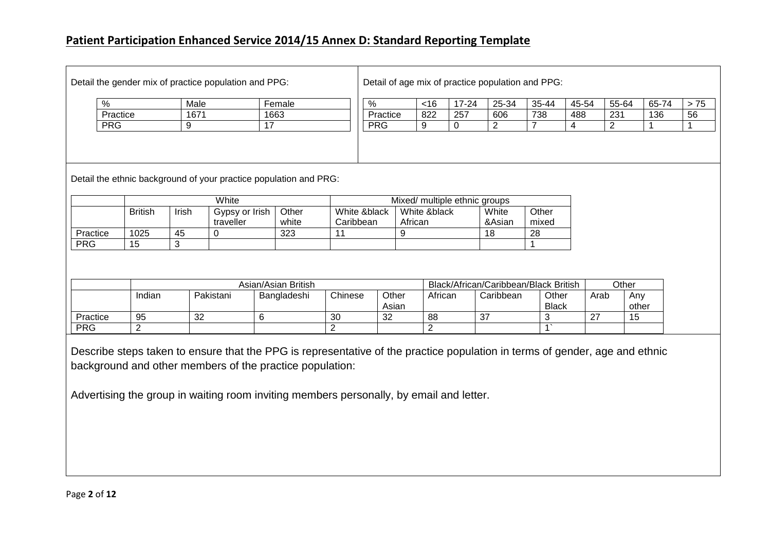|                        | $\%$<br>Practice<br><b>PRG</b> |       | Female<br>Male<br>1671<br>17<br>9                                          |                                    | $\%$             |             | <16          | $17 - 24$                     | 25-34                                              | 35-44             | 45-54 | 55-64          | 65-74 | $>75$ |
|------------------------|--------------------------------|-------|----------------------------------------------------------------------------|------------------------------------|------------------|-------------|--------------|-------------------------------|----------------------------------------------------|-------------------|-------|----------------|-------|-------|
|                        |                                |       |                                                                            |                                    | 1663<br>Practice |             | 822          | 257                           | 606                                                | 738               | 488   | 231            | 136   | 56    |
|                        |                                |       |                                                                            |                                    |                  | <b>PRG</b>  | 9            | $\Omega$                      | $\overline{2}$                                     | $\overline{7}$    | 4     | $\overline{2}$ |       |       |
|                        |                                |       | Detail the ethnic background of your practice population and PRG:<br>White | Other                              | White &black     |             |              | Mixed/ multiple ethnic groups |                                                    | Other             |       |                |       |       |
|                        | <b>British</b>                 | Irish | Gypsy or Irish<br>traveller                                                | white                              | Caribbean        | African     | White &black |                               | White<br>&Asian                                    | mixed             |       |                |       |       |
|                        |                                |       |                                                                            |                                    |                  |             |              |                               |                                                    |                   |       |                |       |       |
|                        | 1025                           | 45    | 0                                                                          | 323                                | 11               | 9           |              |                               | 18                                                 | 28                |       |                |       |       |
| Practice<br><b>PRG</b> | 15                             | 3     |                                                                            |                                    |                  |             |              |                               |                                                    | 1                 |       |                |       |       |
|                        | Indian                         |       | Pakistani                                                                  | Asian/Asian British<br>Bangladeshi | Chinese          | Other       | African      |                               | Black/African/Caribbean/Black British<br>Caribbean | Other             | Arab  | Other<br>Any   |       |       |
| Practice               | 95                             | 32    | 6                                                                          |                                    | 30               | Asian<br>32 | 88           |                               | 37                                                 | <b>Black</b><br>3 | 27    | 15             | other |       |

Describe steps taken to ensure that the PPG is representative of the practice population in terms of gender, age and ethnic background and other members of the practice population:

Advertising the group in waiting room inviting members personally, by email and letter.

PRG |2 | | |2 | |2 | |1`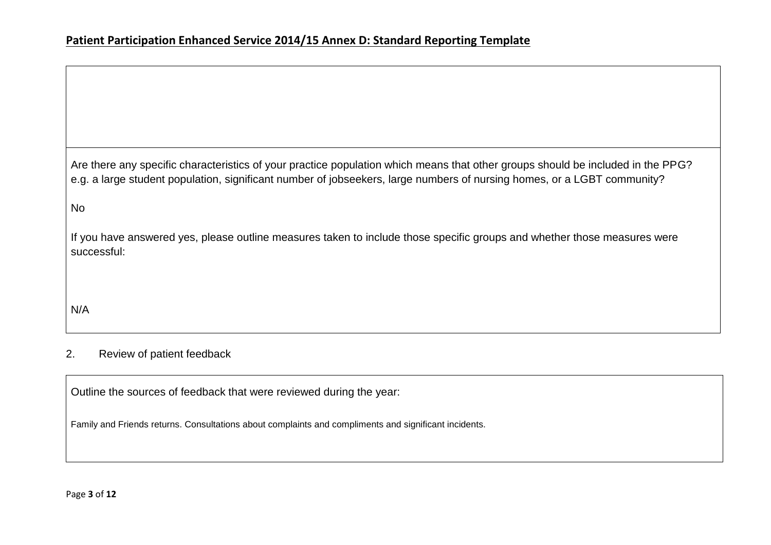Are there any specific characteristics of your practice population which means that other groups should be included in the PPG? e.g. a large student population, significant number of jobseekers, large numbers of nursing homes, or a LGBT community?

No

If you have answered yes, please outline measures taken to include those specific groups and whether those measures were successful:

N/A

#### 2. Review of patient feedback

Outline the sources of feedback that were reviewed during the year:

Family and Friends returns. Consultations about complaints and compliments and significant incidents.

Page **3** of **12**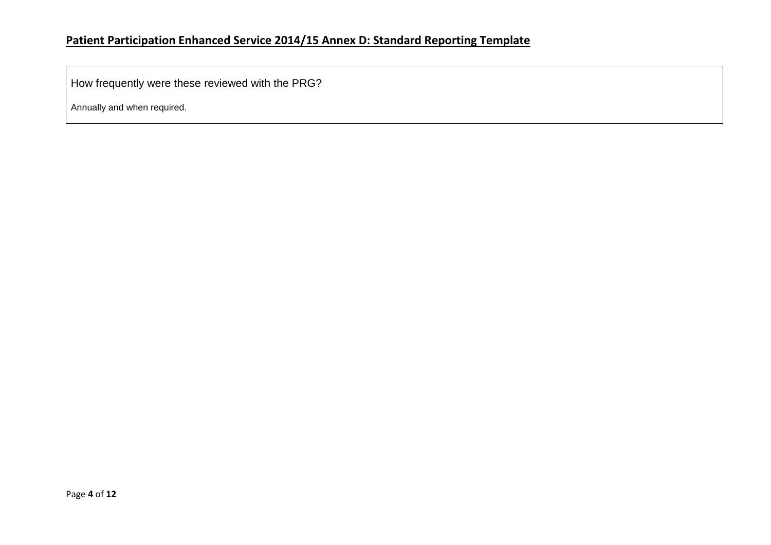How frequently were these reviewed with the PRG?

Annually and when required.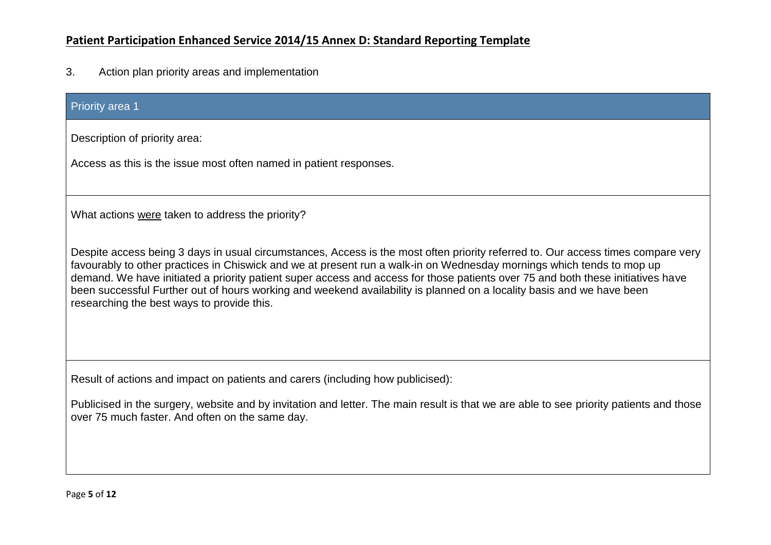3. Action plan priority areas and implementation

#### Priority area 1

Description of priority area:

Access as this is the issue most often named in patient responses.

What actions were taken to address the priority?

Despite access being 3 days in usual circumstances, Access is the most often priority referred to. Our access times compare very favourably to other practices in Chiswick and we at present run a walk-in on Wednesday mornings which tends to mop up demand. We have initiated a priority patient super access and access for those patients over 75 and both these initiatives have been successful Further out of hours working and weekend availability is planned on a locality basis and we have been researching the best ways to provide this.

Result of actions and impact on patients and carers (including how publicised):

Publicised in the surgery, website and by invitation and letter. The main result is that we are able to see priority patients and those over 75 much faster. And often on the same day.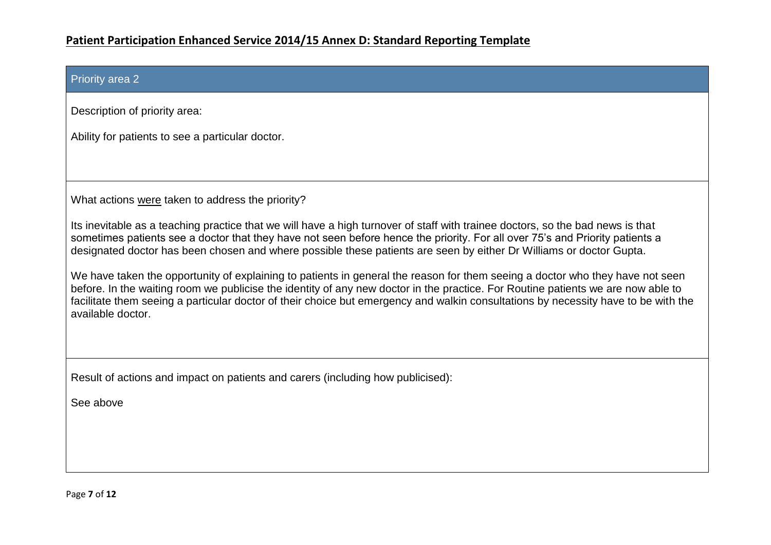#### Priority area 2

Description of priority area:

Ability for patients to see a particular doctor.

What actions were taken to address the priority?

Its inevitable as a teaching practice that we will have a high turnover of staff with trainee doctors, so the bad news is that sometimes patients see a doctor that they have not seen before hence the priority. For all over 75's and Priority patients a designated doctor has been chosen and where possible these patients are seen by either Dr Williams or doctor Gupta.

We have taken the opportunity of explaining to patients in general the reason for them seeing a doctor who they have not seen before. In the waiting room we publicise the identity of any new doctor in the practice. For Routine patients we are now able to facilitate them seeing a particular doctor of their choice but emergency and walkin consultations by necessity have to be with the available doctor.

Result of actions and impact on patients and carers (including how publicised):

See above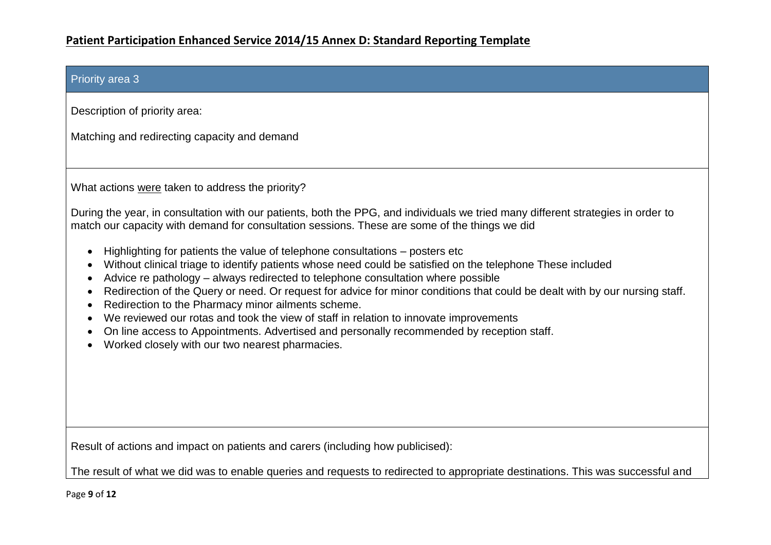#### Priority area 3

Description of priority area:

Matching and redirecting capacity and demand

What actions were taken to address the priority?

During the year, in consultation with our patients, both the PPG, and individuals we tried many different strategies in order to match our capacity with demand for consultation sessions. These are some of the things we did

- Highlighting for patients the value of telephone consultations posters etc
- Without clinical triage to identify patients whose need could be satisfied on the telephone These included
- Advice re pathology always redirected to telephone consultation where possible
- Redirection of the Query or need. Or request for advice for minor conditions that could be dealt with by our nursing staff.
- Redirection to the Pharmacy minor ailments scheme.
- We reviewed our rotas and took the view of staff in relation to innovate improvements
- On line access to Appointments. Advertised and personally recommended by reception staff.
- Worked closely with our two nearest pharmacies.

Result of actions and impact on patients and carers (including how publicised):

The result of what we did was to enable queries and requests to redirected to appropriate destinations. This was successful and

Page **9** of **12**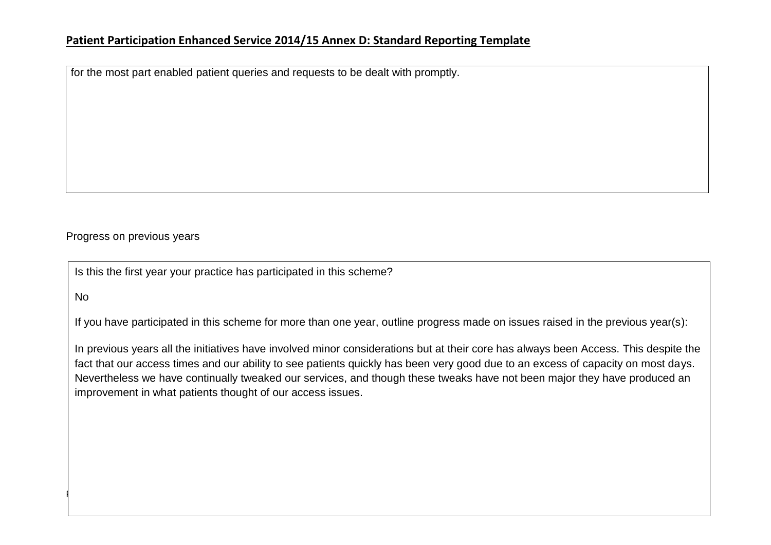for the most part enabled patient queries and requests to be dealt with promptly.

#### Progress on previous years

Is this the first year your practice has participated in this scheme?

No

Page **10** of **12**

If you have participated in this scheme for more than one year, outline progress made on issues raised in the previous year(s):

In previous years all the initiatives have involved minor considerations but at their core has always been Access. This despite the fact that our access times and our ability to see patients quickly has been very good due to an excess of capacity on most days. Nevertheless we have continually tweaked our services, and though these tweaks have not been major they have produced an improvement in what patients thought of our access issues.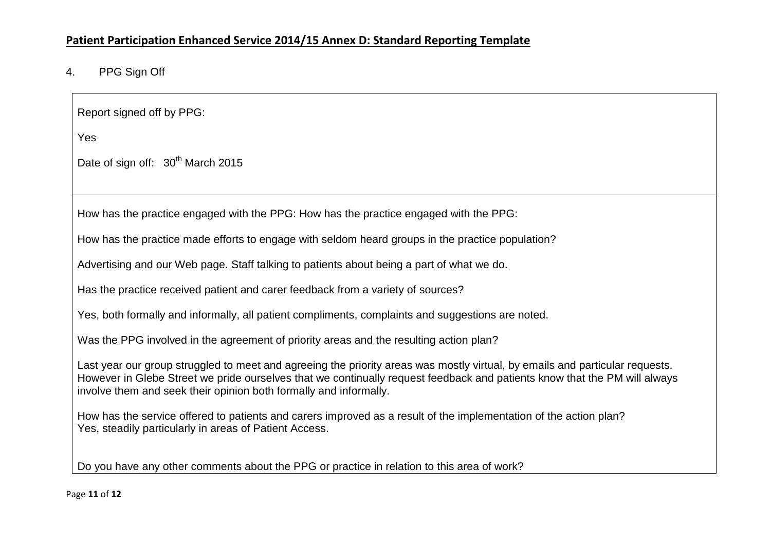# 4. PPG Sign Off

Report signed off by PPG:

Yes

Date of sign off: 30<sup>th</sup> March 2015

How has the practice engaged with the PPG: How has the practice engaged with the PPG:

How has the practice made efforts to engage with seldom heard groups in the practice population?

Advertising and our Web page. Staff talking to patients about being a part of what we do.

Has the practice received patient and carer feedback from a variety of sources?

Yes, both formally and informally, all patient compliments, complaints and suggestions are noted.

Was the PPG involved in the agreement of priority areas and the resulting action plan?

Last year our group struggled to meet and agreeing the priority areas was mostly virtual, by emails and particular requests. However in Glebe Street we pride ourselves that we continually request feedback and patients know that the PM will always involve them and seek their opinion both formally and informally.

How has the service offered to patients and carers improved as a result of the implementation of the action plan? Yes, steadily particularly in areas of Patient Access.

Do you have any other comments about the PPG or practice in relation to this area of work?

Page **11** of **12**